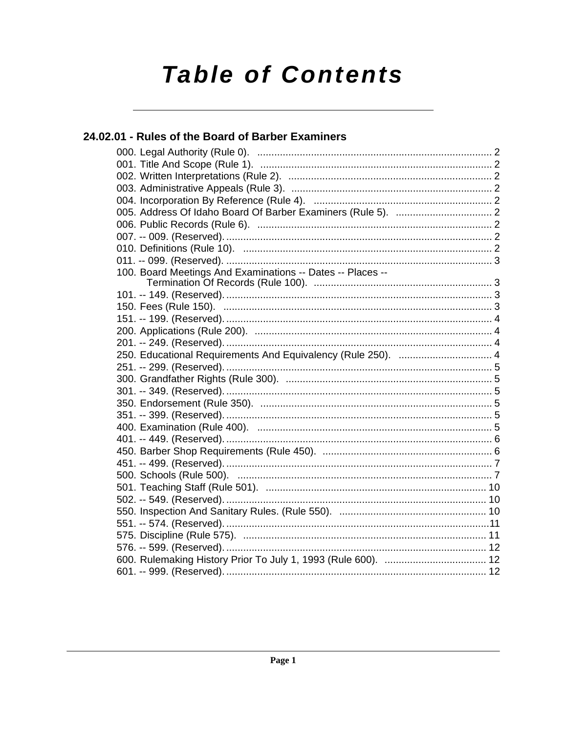# **Table of Contents**

# 24.02.01 - Rules of the Board of Barber Examiners

| 100. Board Meetings And Examinations -- Dates -- Places --   |
|--------------------------------------------------------------|
|                                                              |
|                                                              |
|                                                              |
|                                                              |
|                                                              |
|                                                              |
| 250. Educational Requirements And Equivalency (Rule 250).  4 |
|                                                              |
|                                                              |
|                                                              |
|                                                              |
|                                                              |
|                                                              |
|                                                              |
|                                                              |
|                                                              |
|                                                              |
|                                                              |
|                                                              |
|                                                              |
|                                                              |
|                                                              |
|                                                              |
|                                                              |
|                                                              |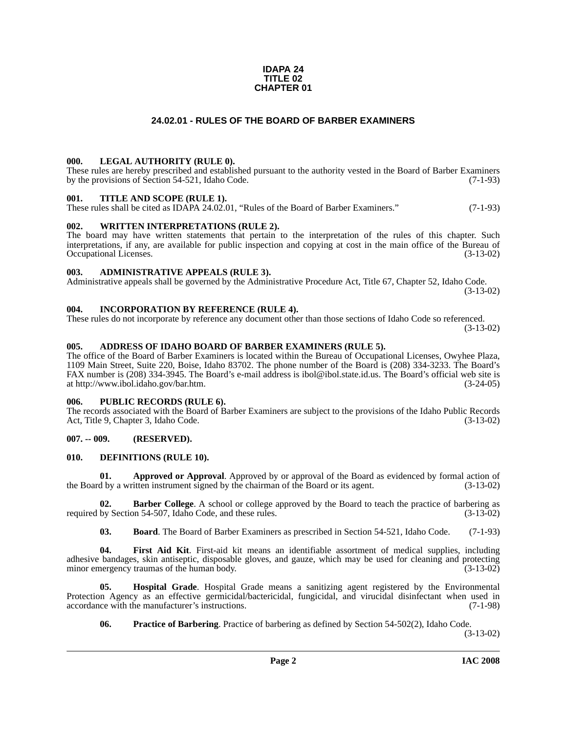#### **IDAPA 24 TITLE 02 CHAPTER 01**

### **24.02.01 - RULES OF THE BOARD OF BARBER EXAMINERS**

#### <span id="page-1-1"></span><span id="page-1-0"></span>**000. LEGAL AUTHORITY (RULE 0).**

These rules are hereby prescribed and established pursuant to the authority vested in the Board of Barber Examiners by the provisions of Section 54-521, Idaho Code. (7-1-93)

#### <span id="page-1-2"></span>**001. TITLE AND SCOPE (RULE 1).**

These rules shall be cited as IDAPA 24.02.01, "Rules of the Board of Barber Examiners." (7-1-93)

#### <span id="page-1-3"></span>**002. WRITTEN INTERPRETATIONS (RULE 2).**

The board may have written statements that pertain to the interpretation of the rules of this chapter. Such interpretations, if any, are available for public inspection and copying at cost in the main office of the Bureau of Occupational Licenses. (3-13-02) Occupational Licenses.

#### <span id="page-1-4"></span>**003. ADMINISTRATIVE APPEALS (RULE 3).**

Administrative appeals shall be governed by the Administrative Procedure Act, Title 67, Chapter 52, Idaho Code. (3-13-02)

#### <span id="page-1-5"></span>**004. INCORPORATION BY REFERENCE (RULE 4).**

These rules do not incorporate by reference any document other than those sections of Idaho Code so referenced. (3-13-02)

#### <span id="page-1-10"></span><span id="page-1-6"></span>**005. ADDRESS OF IDAHO BOARD OF BARBER EXAMINERS (RULE 5).**

[The office of the Board of Barber Examiners is located within the Bureau of Occupational Licenses, Owyhee Plaza,](http://www.ibol.idaho.gov/bar.htm)  1109 Main Street, Suite 220, Boise, Idaho 83702. The phone number of the Board is (208) 334-3233. The Board's FAX number is (208) 334-3945. The Board's e-mail address is ibol@ibol.state.id.us. The Board's official web site is at http://www.ibol.idaho.gov/bar.htm. (3-24-05)

#### <span id="page-1-7"></span>**006. PUBLIC RECORDS (RULE 6).**

The records associated with the Board of Barber Examiners are subject to the provisions of the Idaho Public Records<br>Act, Title 9, Chapter 3, Idaho Code. (3-13-02) Act, Title 9, Chapter 3, Idaho Code.

### <span id="page-1-8"></span>**007. -- 009. (RESERVED).**

#### <span id="page-1-12"></span><span id="page-1-9"></span>**010. DEFINITIONS (RULE 10).**

**01. Approved or Approval**. Approved by or approval of the Board as evidenced by formal action of the Board by a written instrument signed by the chairman of the Board or its agent. (3-13-02)

**Barber College**. A school or college approved by the Board to teach the practice of barbering as on 54-507, Idaho Code, and these rules. (3-13-02) required by Section 54-507, Idaho Code, and these rules.

<span id="page-1-13"></span><span id="page-1-11"></span>**03. Board**. The Board of Barber Examiners as prescribed in Section 54-521, Idaho Code. (7-1-93)

**04. First Aid Kit**. First-aid kit means an identifiable assortment of medical supplies, including adhesive bandages, skin antiseptic, disposable gloves, and gauze, which may be used for cleaning and protecting minor emergency traumas of the human body. (3-13-02)

**05. Hospital Grade**. Hospital Grade means a sanitizing agent registered by the Environmental Protection Agency as an effective germicidal/bactericidal, fungicidal, and virucidal disinfectant when used in accordance with the manufacturer's instructions. (7-1-98) accordance with the manufacturer's instructions.

<span id="page-1-15"></span><span id="page-1-14"></span>**06. Practice of Barbering**. Practice of barbering as defined by Section 54-502(2), Idaho Code.

(3-13-02)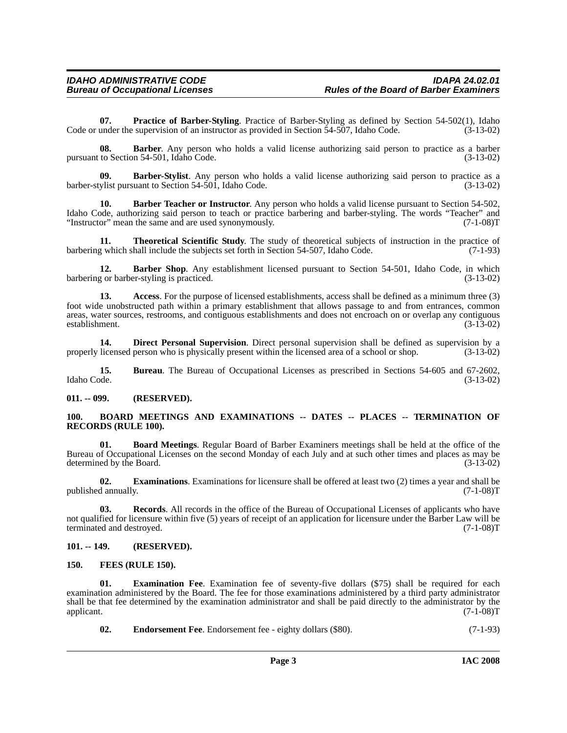<span id="page-2-15"></span>**07. Practice of Barber-Styling**. Practice of Barber-Styling as defined by Section 54-502(1), Idaho Code or under the supervision of an instructor as provided in Section 54-507, Idaho Code. (3-13-02)

**08. Barber**. Any person who holds a valid license authorizing said person to practice as a barber pursuant to Section 54-501, Idaho Code. (3-13-02)

<span id="page-2-7"></span>**09. Barber-Stylist**. Any person who holds a valid license authorizing said person to practice as a barber-stylist pursuant to Section 54-501, Idaho Code. (3-13-02)

<span id="page-2-6"></span>**10. Barber Teacher or Instructor**. Any person who holds a valid license pursuant to Section 54-502, Idaho Code, authorizing said person to teach or practice barbering and barber-styling. The words "Teacher" and<br>
"Instructor" mean the same and are used synonymously. (7-1-08) "Instructor" mean the same and are used synonymously.

<span id="page-2-17"></span>**11. Theoretical Scientific Study**. The study of theoretical subjects of instruction in the practice of g which shall include the subjects set forth in Section 54-507, Idaho Code. (7-1-93) barbering which shall include the subjects set forth in Section 54-507, Idaho Code.

<span id="page-2-5"></span>12. **Barber Shop**. Any establishment licensed pursuant to Section 54-501, Idaho Code, in which barbering or barber-styling is practiced. (3-13-02)

<span id="page-2-4"></span>**13. Access**. For the purpose of licensed establishments, access shall be defined as a minimum three (3) foot wide unobstructed path within a primary establishment that allows passage to and from entrances, common areas, water sources, restrooms, and contiguous establishments and does not encroach on or overlap any contiguous establishment. (3-13-02)

<span id="page-2-10"></span>**14. Direct Personal Supervision**. Direct personal supervision shall be defined as supervision by a properly licensed person who is physically present within the licensed area of a school or shop. (3-13-02)

**15. Bureau**. The Bureau of Occupational Licenses as prescribed in Sections 54-605 and 67-2602, Idaho Code. (3-13-02)

<span id="page-2-0"></span>**011. -- 099. (RESERVED).**

#### <span id="page-2-9"></span><span id="page-2-1"></span>**100. BOARD MEETINGS AND EXAMINATIONS -- DATES -- PLACES -- TERMINATION OF RECORDS (RULE 100).**

<span id="page-2-8"></span>**01. Board Meetings**. Regular Board of Barber Examiners meetings shall be held at the office of the Bureau of Occupational Licenses on the second Monday of each July and at such other times and places as may be determined by the Board. (3-13-02)

<span id="page-2-13"></span>**02. Examinations**. Examinations for licensure shall be offered at least two (2) times a year and shall be published annually. (7-1-08)T

<span id="page-2-16"></span>**03. Records**. All records in the office of the Bureau of Occupational Licenses of applicants who have not qualified for licensure within five (5) years of receipt of an application for licensure under the Barber Law will be terminated and destroved. (7-1-08) terminated and destroyed.

#### <span id="page-2-2"></span>**101. -- 149. (RESERVED).**

#### <span id="page-2-14"></span><span id="page-2-3"></span>**150. FEES (RULE 150).**

**Examination Fee.** Examination fee of seventy-five dollars (\$75) shall be required for each examination administered by the Board. The fee for those examinations administered by a third party administrator shall be that fee determined by the examination administrator and shall be paid directly to the administrator by the applicant. (7-1-08)T applicant.  $(7-1-08)T$ 

<span id="page-2-12"></span><span id="page-2-11"></span>**02.** Endorsement Fee. Endorsement fee - eighty dollars (\$80). (7-1-93)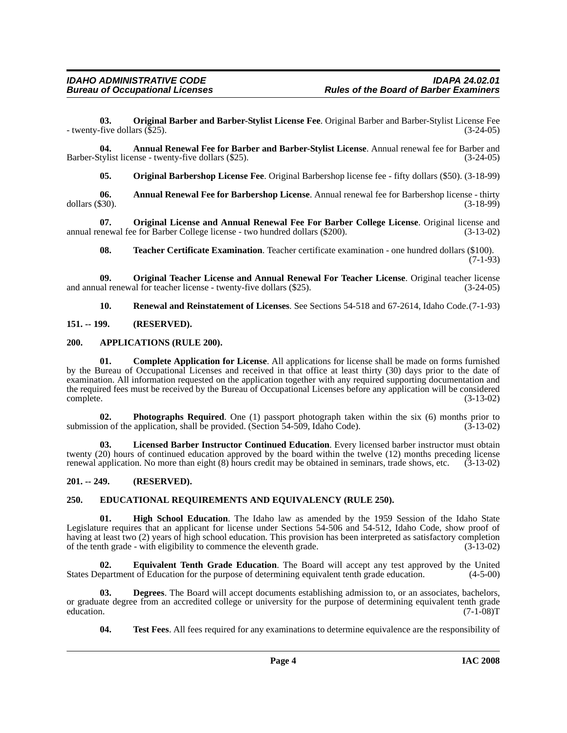<span id="page-3-13"></span>**03. Original Barber and Barber-Stylist License Fee**. Original Barber and Barber-Stylist License Fee - twenty-five dollars (\$25). (3-24-05)

**04. Annual Renewal Fee for Barber and Barber-Stylist License**. Annual renewal fee for Barber and Barber-Stylist license - twenty-five dollars (\$25). (3-24-05)

<span id="page-3-14"></span><span id="page-3-5"></span><span id="page-3-4"></span>**05. Original Barbershop License Fee**. Original Barbershop license fee - fifty dollars (\$50). (3-18-99)

**06. Annual Renewal Fee for Barbershop License**. Annual renewal fee for Barbershop license - thirty dollars  $(\$30)$ .

**07. Original License and Annual Renewal Fee For Barber College License**. Original license and annual renewal fee for Barber College license - two hundred dollars (\$200). (3-13-02)

<span id="page-3-19"></span><span id="page-3-16"></span><span id="page-3-15"></span>**08. Teacher Certificate Examination**. Teacher certificate examination - one hundred dollars (\$100).  $(7-1-93)$ 

**09. Original Teacher License and Annual Renewal For Teacher License**. Original teacher license and annual renewal for teacher license - twenty-five dollars (\$25).

<span id="page-3-18"></span><span id="page-3-7"></span><span id="page-3-6"></span>**10. Renewal and Reinstatement of Licenses**. See Sections 54-518 and 67-2614, Idaho Code.(7-1-93)

<span id="page-3-0"></span>**151. -- 199. (RESERVED).**

#### <span id="page-3-1"></span>**200. APPLICATIONS (RULE 200).**

**01. Complete Application for License**. All applications for license shall be made on forms furnished by the Bureau of Occupational Licenses and received in that office at least thirty (30) days prior to the date of examination. All information requested on the application together with any required supporting documentation and the required fees must be received by the Bureau of Occupational Licenses before any application will be considered complete. (3-13-02) complete. (3-13-02)

<span id="page-3-17"></span>**02. Photographs Required**. One (1) passport photograph taken within the six (6) months prior to on of the application, shall be provided. (Section 54-509, Idaho Code). (3-13-02) submission of the application, shall be provided. (Section 54-509, Idaho Code).

<span id="page-3-12"></span>**03. Licensed Barber Instructor Continued Education**. Every licensed barber instructor must obtain twenty (20) hours of continued education approved by the board within the twelve (12) months preceding license renewal application. No more than eight (8) hours credit may be obtained in seminars, trade shows, etc. (3-13-02)

#### <span id="page-3-2"></span>**201. -- 249. (RESERVED).**

#### <span id="page-3-9"></span><span id="page-3-3"></span>**250. EDUCATIONAL REQUIREMENTS AND EQUIVALENCY (RULE 250).**

<span id="page-3-11"></span>**01. High School Education**. The Idaho law as amended by the 1959 Session of the Idaho State Legislature requires that an applicant for license under Sections 54-506 and 54-512, Idaho Code, show proof of having at least two (2) years of high school education. This provision has been interpreted as satisfactory completion of the tenth grade - with eligibility to commence the eleventh grade. (3-13-02)

<span id="page-3-10"></span>**02. Equivalent Tenth Grade Education**. The Board will accept any test approved by the United States Department of Education for the purpose of determining equivalent tenth grade education. (4-5-00)

**03. Degrees**. The Board will accept documents establishing admission to, or an associates, bachelors, or graduate degree from an accredited college or university for the purpose of determining equivalent tenth grade education. (7-1-08)T education. (7-1-08)T

<span id="page-3-20"></span><span id="page-3-8"></span>**04. Test Fees**. All fees required for any examinations to determine equivalence are the responsibility of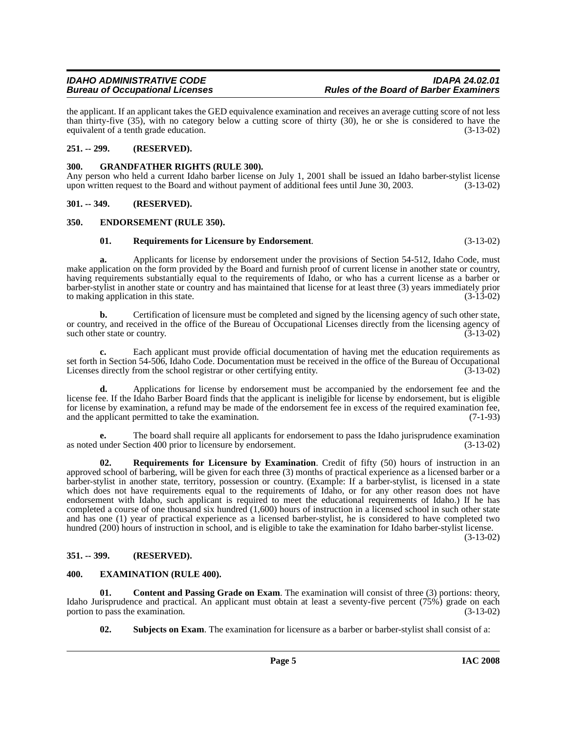# **Bureau of Occupational Licenses**

the applicant. If an applicant takes the GED equivalence examination and receives an average cutting score of not less than thirty-five (35), with no category below a cutting score of thirty (30), he or she is considered to have the equivalent of a tenth grade education. (3-13-02)

#### <span id="page-4-0"></span>**251. -- 299. (RESERVED).**

#### <span id="page-4-9"></span><span id="page-4-1"></span>**300. GRANDFATHER RIGHTS (RULE 300).**

Any person who held a current Idaho barber license on July 1, 2001 shall be issued an Idaho barber-stylist license upon written request to the Board and without payment of additional fees until June 30, 2003. (3-13-02)

#### <span id="page-4-2"></span>**301. -- 349. (RESERVED).**

#### <span id="page-4-3"></span>**350. ENDORSEMENT (RULE 350).**

#### <span id="page-4-10"></span><span id="page-4-7"></span>**01. Requirements for Licensure by Endorsement**. (3-13-02)

**a.** Applicants for license by endorsement under the provisions of Section 54-512, Idaho Code, must make application on the form provided by the Board and furnish proof of current license in another state or country, having requirements substantially equal to the requirements of Idaho, or who has a current license as a barber or barber-stylist in another state or country and has maintained that license for at least three (3) years immediately prior to making application in this state. (3-13-02)

**b.** Certification of licensure must be completed and signed by the licensing agency of such other state, or country, and received in the office of the Bureau of Occupational Licenses directly from the licensing agency of such other state or country. (3-13-02)

**c.** Each applicant must provide official documentation of having met the education requirements as set forth in Section 54-506, Idaho Code. Documentation must be received in the office of the Bureau of Occupational<br>Licenses directly from the school registrar or other certifying entity. (3-13-02) Licenses directly from the school registrar or other certifying entity.

**d.** Applications for license by endorsement must be accompanied by the endorsement fee and the license fee. If the Idaho Barber Board finds that the applicant is ineligible for license by endorsement, but is eligible for license by examination, a refund may be made of the endorsement fee in excess of the required examination fee, and the applicant permitted to take the examination. (7-1-93)

**e.** The board shall require all applicants for endorsement to pass the Idaho jurisprudence examination as noted under Section 400 prior to licensure by endorsement. (3-13-02)

<span id="page-4-11"></span>**Requirements for Licensure by Examination**. Credit of fifty (50) hours of instruction in an approved school of barbering, will be given for each three (3) months of practical experience as a licensed barber or a barber-stylist in another state, territory, possession or country. (Example: If a barber-stylist, is licensed in a state which does not have requirements equal to the requirements of Idaho, or for any other reason does not have endorsement with Idaho, such applicant is required to meet the educational requirements of Idaho.) If he has completed a course of one thousand six hundred (1,600) hours of instruction in a licensed school in such other state and has one (1) year of practical experience as a licensed barber-stylist, he is considered to have completed two hundred (200) hours of instruction in school, and is eligible to take the examination for Idaho barber-stylist license.

(3-13-02)

#### <span id="page-4-4"></span>**351. -- 399. (RESERVED).**

#### <span id="page-4-8"></span><span id="page-4-5"></span>**400. EXAMINATION (RULE 400).**

**01.** Content and Passing Grade on Exam. The examination will consist of three (3) portions: theory, Idaho Jurisprudence and practical. An applicant must obtain at least a seventy-five percent (75%) grade on each portion to pass the examination. (3-13-02) portion to pass the examination.

<span id="page-4-12"></span><span id="page-4-6"></span>**02.** Subjects on Exam. The examination for licensure as a barber or barber-stylist shall consist of a: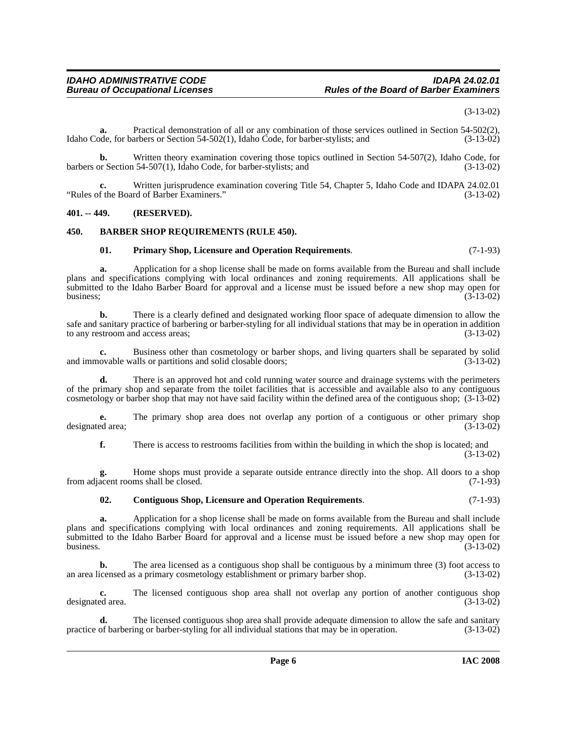(3-13-02)

**a.** Practical demonstration of all or any combination of those services outlined in Section 54-502(2), Idaho Code, for barbers or Section 54-502(1), Idaho Code, for barber-stylists; and (3-13-02)

**b.** Written theory examination covering those topics outlined in Section 54-507(2), Idaho Code, for Section 54-507(1), Idaho Code, for barber-stylists; and (3-13-02) barbers or Section 54-507(1), Idaho Code, for barber-stylists; and

**c.** Written jurisprudence examination covering Title 54, Chapter 5, Idaho Code and IDAPA 24.02.01 "Rules of the Board of Barber Examiners." (3-13-02)

#### <span id="page-5-0"></span>**401. -- 449. (RESERVED).**

#### <span id="page-5-1"></span>**450. BARBER SHOP REQUIREMENTS (RULE 450).**

#### <span id="page-5-4"></span><span id="page-5-2"></span>**01. Primary Shop, Licensure and Operation Requirements**. (7-1-93)

**a.** Application for a shop license shall be made on forms available from the Bureau and shall include plans and specifications complying with local ordinances and zoning requirements. All applications shall be submitted to the Idaho Barber Board for approval and a license must be issued before a new shop may open for business;  $(3-13-02)$ 

**b.** There is a clearly defined and designated working floor space of adequate dimension to allow the safe and sanitary practice of barbering or barber-styling for all individual stations that may be in operation in addition to any restroom and access areas; (3-13-02)

**c.** Business other than cosmetology or barber shops, and living quarters shall be separated by solid ovable walls or partitions and solid closable doors; (3-13-02) and immovable walls or partitions and solid closable doors;

**d.** There is an approved hot and cold running water source and drainage systems with the perimeters of the primary shop and separate from the toilet facilities that is accessible and available also to any contiguous cosmetology or barber shop that may not have said facility within the defined area of the contiguous shop; (3-13-02)

**e.** The primary shop area does not overlap any portion of a contiguous or other primary shop ed area: (3-13-02) designated area;

**f.** There is access to restrooms facilities from within the building in which the shop is located; and (3-13-02)

**g.** Home shops must provide a separate outside entrance directly into the shop. All doors to a shop from adjacent rooms shall be closed. (7-1-93)

#### <span id="page-5-3"></span>**02. Contiguous Shop, Licensure and Operation Requirements**. (7-1-93)

**a.** Application for a shop license shall be made on forms available from the Bureau and shall include plans and specifications complying with local ordinances and zoning requirements. All applications shall be submitted to the Idaho Barber Board for approval and a license must be issued before a new shop may open for business.  $(3-13-02)$ 

**b.** The area licensed as a contiguous shop shall be contiguous by a minimum three (3) foot access to an area licensed as a primary cosmetology establishment or primary barber shop. (3-13-02)

**c.** The licensed contiguous shop area shall not overlap any portion of another contiguous shop designated area. (3-13-02)

The licensed contiguous shop area shall provide adequate dimension to allow the safe and sanitary practice of barbering or barber-styling for all individual stations that may be in operation. (3-13-02)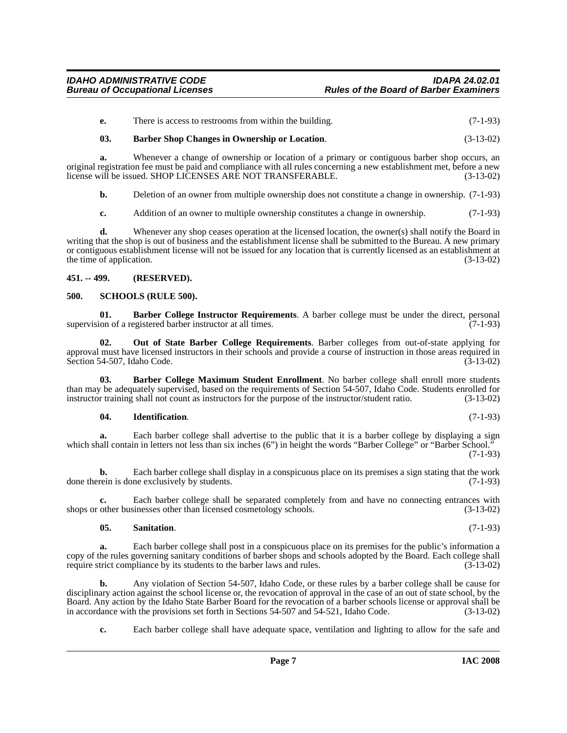| There is access to restrooms from within the building. | $(7-1-93)$ |
|--------------------------------------------------------|------------|
|                                                        |            |

### <span id="page-6-4"></span>**03. Barber Shop Changes in Ownership or Location**. (3-13-02)

**a.** Whenever a change of ownership or location of a primary or contiguous barber shop occurs, an original registration fee must be paid and compliance with all rules concerning a new establishment met, before a new license will be issued. SHOP LICENSES ARE NOT TRANSFERABLE. (3-13-02)

**b.** Deletion of an owner from multiple ownership does not constitute a change in ownership.  $(7-1-93)$ 

**c.** Addition of an owner to multiple ownership constitutes a change in ownership. (7-1-93)

**d.** Whenever any shop ceases operation at the licensed location, the owner(s) shall notify the Board in writing that the shop is out of business and the establishment license shall be submitted to the Bureau. A new primary or contiguous establishment license will not be issued for any location that is currently licensed as an establishment at the time of application.

#### <span id="page-6-0"></span>**451. -- 499. (RESERVED).**

#### <span id="page-6-8"></span><span id="page-6-1"></span>**500. SCHOOLS (RULE 500).**

<span id="page-6-2"></span>**01. Barber College Instructor Requirements**. A barber college must be under the direct, personal supervision of a registered barber instructor at all times. (7-1-93)

<span id="page-6-6"></span>**02. Out of State Barber College Requirements**. Barber colleges from out-of-state applying for approval must have licensed instructors in their schools and provide a course of instruction in those areas required in Section 54-507, Idaho Code.  $(3-13-02)$ 

**03. Barber College Maximum Student Enrollment**. No barber college shall enroll more students than may be adequately supervised, based on the requirements of Section 54-507, Idaho Code. Students enrolled for instructor training shall not count as instructors for the purpose of the instructor/student ratio. (3-13-02)

#### <span id="page-6-5"></span><span id="page-6-3"></span>**04. Identification**. (7-1-93)

**a.** Each barber college shall advertise to the public that it is a barber college by displaying a sign which shall contain in letters not less than six inches (6") in height the words "Barber College" or "Barber School." (7-1-93)

**b.** Each barber college shall display in a conspicuous place on its premises a sign stating that the work done therein is done exclusively by students.  $(7-1-93)$ 

Each barber college shall be separated completely from and have no connecting entrances with sinesses other than licensed cosmetology schools. (3-13-02) shops or other businesses other than licensed cosmetology schools.

#### <span id="page-6-7"></span>**05. Sanitation**. (7-1-93)

**a.** Each barber college shall post in a conspicuous place on its premises for the public's information a copy of the rules governing sanitary conditions of barber shops and schools adopted by the Board. Each college shall<br>require strict compliance by its students to the barber laws and rules. (3-13-02) require strict compliance by its students to the barber laws and rules.

**b.** Any violation of Section 54-507, Idaho Code, or these rules by a barber college shall be cause for disciplinary action against the school license or, the revocation of approval in the case of an out of state school, by the Board. Any action by the Idaho State Barber Board for the revocation of a barber schools license or approval shall be in accordance with the provisions set forth in Sections 54-507 and 54-521, Idaho Code. (3-13-02) in accordance with the provisions set forth in Sections 54-507 and 54-521, Idaho Code.

**c.** Each barber college shall have adequate space, ventilation and lighting to allow for the safe and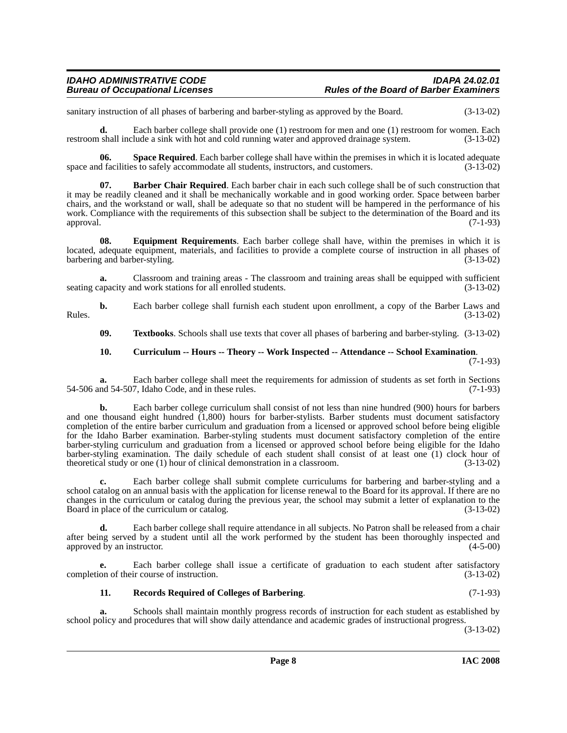sanitary instruction of all phases of barbering and barber-styling as approved by the Board. (3-13-02)

**d.** Each barber college shall provide one (1) restroom for men and one (1) restroom for women. Each restroom shall include a sink with hot and cold running water and approved drainage system. (3-13-02)

<span id="page-7-4"></span>**06. Space Required**. Each barber college shall have within the premises in which it is located adequate d facilities to safely accommodate all students, instructors, and customers. (3-13-02) space and facilities to safely accommodate all students, instructors, and customers.

<span id="page-7-0"></span>**07. Barber Chair Required**. Each barber chair in each such college shall be of such construction that it may be readily cleaned and it shall be mechanically workable and in good working order. Space between barber chairs, and the workstand or wall, shall be adequate so that no student will be hampered in the performance of his work. Compliance with the requirements of this subsection shall be subject to the determination of the Board and its approval. (7-1-93) approval. (7-1-93)

<span id="page-7-2"></span>**08. Equipment Requirements**. Each barber college shall have, within the premises in which it is located, adequate equipment, materials, and facilities to provide a complete course of instruction in all phases of barbering and barber-styling. (3-13-02) barbering and barber-styling.

**a.** Classroom and training areas - The classroom and training areas shall be equipped with sufficient seating capacity and work stations for all enrolled students. (3-13-02)

**b.** Each barber college shall furnish each student upon enrollment, a copy of the Barber Laws and (3-13-02) Rules.  $(3-13-02)$ 

<span id="page-7-5"></span>**09. Textbooks**. Schools shall use texts that cover all phases of barbering and barber-styling. (3-13-02)

#### <span id="page-7-1"></span>**10. Curriculum -- Hours -- Theory -- Work Inspected -- Attendance -- School Examination**. (7-1-93)

**a.** Each barber college shall meet the requirements for admission of students as set forth in Sections nd 54-507. Idaho Code, and in these rules. (7-1-93)  $54-506$  and  $54-507$ , Idaho Code, and in these rules.

**b.** Each barber college curriculum shall consist of not less than nine hundred (900) hours for barbers and one thousand eight hundred (1,800) hours for barber-stylists. Barber students must document satisfactory completion of the entire barber curriculum and graduation from a licensed or approved school before being eligible for the Idaho Barber examination. Barber-styling students must document satisfactory completion of the entire barber-styling curriculum and graduation from a licensed or approved school before being eligible for the Idaho barber-styling examination. The daily schedule of each student shall consist of at least one (1) clock hour of theoretical study or one (1) hour of clinical demonstration in a classroom. (3-13-02)

**c.** Each barber college shall submit complete curriculums for barbering and barber-styling and a school catalog on an annual basis with the application for license renewal to the Board for its approval. If there are no changes in the curriculum or catalog during the previous year, the school may submit a letter of explanation to the Board in place of the curriculum or catalog. (3-13-02)

**d.** Each barber college shall require attendance in all subjects. No Patron shall be released from a chair after being served by a student until all the work performed by the student has been thoroughly inspected and approved by an instructor. (4-5-00)

**e.** Each barber college shall issue a certificate of graduation to each student after satisfactory completion of their course of instruction. (3-13-02)

## <span id="page-7-3"></span>**11. Records Required of Colleges of Barbering**. (7-1-93)

**a.** Schools shall maintain monthly progress records of instruction for each student as established by school policy and procedures that will show daily attendance and academic grades of instructional progress.

(3-13-02)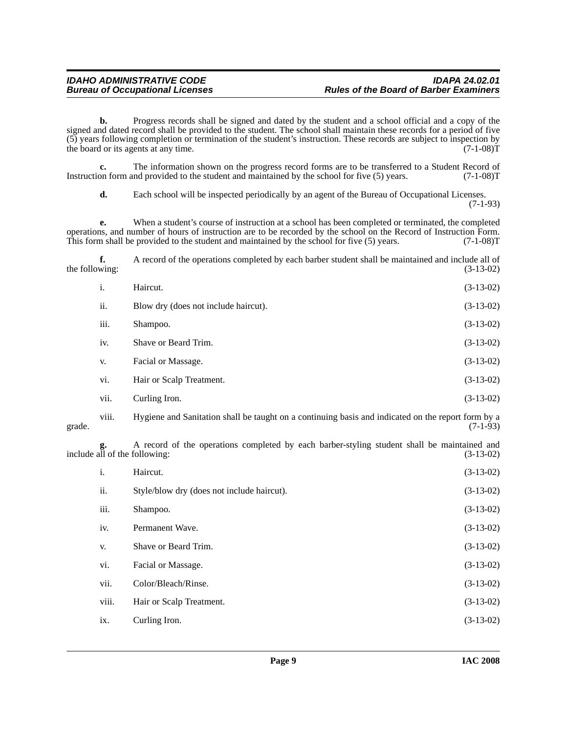**b.** Progress records shall be signed and dated by the student and a school official and a copy of the signed and dated record shall be provided to the student. The school shall maintain these records for a period of five (5) years following completion or termination of the student's instruction. These records are subject to inspection by the board or its agents at any time.  $(7-1-08)T$ the board or its agents at any time.

**c.** The information shown on the progress record forms are to be transferred to a Student Record of on form and provided to the student and maintained by the school for five (5) years. (7-1-08) Instruction form and provided to the student and maintained by the school for five  $(5)$  years.

**d.** Each school will be inspected periodically by an agent of the Bureau of Occupational Licenses. (7-1-93)

**e.** When a student's course of instruction at a school has been completed or terminated, the completed operations, and number of hours of instruction are to be recorded by the school on the Record of Instruction Form. This form shall be provided to the student and maintained by the school for five (5) years. (7-1-08)T

**f.** A record of the operations completed by each barber student shall be maintained and include all of wing: (3-13-02) the following:

| i.   | Haircut.                             | $(3-13-02)$ |
|------|--------------------------------------|-------------|
| ii.  | Blow dry (does not include haircut). | $(3-13-02)$ |
| iii. | Shampoo.                             | $(3-13-02)$ |
| iv.  | Shave or Beard Trim.                 | $(3-13-02)$ |
| V.   | Facial or Massage.                   | $(3-13-02)$ |
| vi.  | Hair or Scalp Treatment.             | $(3-13-02)$ |
| vii. | Curling Iron.                        | $(3-13-02)$ |

viii. Hygiene and Sanitation shall be taught on a continuing basis and indicated on the report form by a grade.  $(7-1-93)$ 

**g.** A record of the operations completed by each barber-styling student shall be maintained and **g.** A record of the operations completed by each barber-styling student shall be maintained and include all of the following: (3-13-02)

| i.    | Haircut.                                   | $(3-13-02)$ |
|-------|--------------------------------------------|-------------|
| ii.   | Style/blow dry (does not include haircut). | $(3-13-02)$ |
| iii.  | Shampoo.                                   | $(3-13-02)$ |
| iv.   | Permanent Wave.                            | $(3-13-02)$ |
| V.    | Shave or Beard Trim.                       | $(3-13-02)$ |
| vi.   | Facial or Massage.                         | $(3-13-02)$ |
| vii.  | Color/Bleach/Rinse.                        | $(3-13-02)$ |
| viii. | Hair or Scalp Treatment.                   | $(3-13-02)$ |
| ix.   | Curling Iron.                              | $(3-13-02)$ |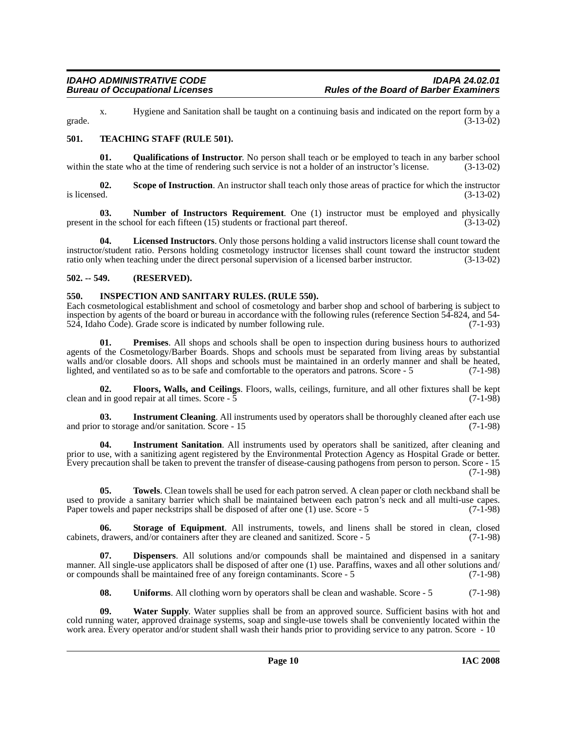x. Hygiene and Sanitation shall be taught on a continuing basis and indicated on the report form by a grade.  $(3-13-02)$ 

### <span id="page-9-7"></span><span id="page-9-0"></span>**501. TEACHING STAFF (RULE 501).**

<span id="page-9-6"></span>**01. Qualifications of Instructor**. No person shall teach or be employed to teach in any barber school le state who at the time of rendering such service is not a holder of an instructor's license. (3-13-02) within the state who at the time of rendering such service is not a holder of an instructor's license.

**02. Scope of Instruction**. An instructor shall teach only those areas of practice for which the instructor is licensed.  $(3-13-02)$ 

<span id="page-9-4"></span>**03.** Number of Instructors Requirement. One (1) instructor must be employed and physically in the school for each fifteen (15) students or fractional part thereof. (3-13-02) present in the school for each fifteen  $(15)$  students or fractional part thereof.

**04. Licensed Instructors**. Only those persons holding a valid instructors license shall count toward the instructor/student ratio. Persons holding cosmetology instructor licenses shall count toward the instructor student ratio only when teaching under the direct personal supervision of a licensed barber instructor. (3-13-02) ratio only when teaching under the direct personal supervision of a licensed barber instructor.

#### <span id="page-9-1"></span>**502. -- 549. (RESERVED).**

#### <span id="page-9-3"></span><span id="page-9-2"></span>**550. INSPECTION AND SANITARY RULES. (RULE 550).**

Each cosmetological establishment and school of cosmetology and barber shop and school of barbering is subject to inspection by agents of the board or bureau in accordance with the following rules (reference Section 54-824, and 54- 524, Idaho Code). Grade score is indicated by number following rule. (7-1-93)

<span id="page-9-5"></span>**01. Premises**. All shops and schools shall be open to inspection during business hours to authorized agents of the Cosmetology/Barber Boards. Shops and schools must be separated from living areas by substantial walls and/or closable doors. All shops and schools must be maintained in an orderly manner and shall be heated, lighted, and ventilated so as to be safe and comfortable to the operators and patrons. Score - 5 (7-1-98) lighted, and ventilated so as to be safe and comfortable to the operators and patrons. Score - 5

**02. Floors, Walls, and Ceilings**. Floors, walls, ceilings, furniture, and all other fixtures shall be kept clean and in good repair at all times. Score  $\overline{5}$  (7-1-98)

**03.** Instrument Cleaning. All instruments used by operators shall be thoroughly cleaned after each use to storage and/or sanitation. Score - 15 and prior to storage and/or sanitation. Score - 15

**04. Instrument Sanitation**. All instruments used by operators shall be sanitized, after cleaning and prior to use, with a sanitizing agent registered by the Environmental Protection Agency as Hospital Grade or better. Every precaution shall be taken to prevent the transfer of disease-causing pathogens from person to person. Score - 15 (7-1-98)

**05. Towels**. Clean towels shall be used for each patron served. A clean paper or cloth neckband shall be used to provide a sanitary barrier which shall be maintained between each patron's neck and all multi-use capes.<br>Paper towels and paper neckstrips shall be disposed of after one (1) use. Score - 5 (7-1-98) Paper towels and paper neckstrips shall be disposed of after one  $(1)$  use. Score - 5

**06. Storage of Equipment**. All instruments, towels, and linens shall be stored in clean, closed cabinets, drawers, and/or containers after they are cleaned and sanitized. Score - 5 (7-1-98)

**07. Dispensers**. All solutions and/or compounds shall be maintained and dispensed in a sanitary manner. All single-use applicators shall be disposed of after one (1) use. Paraffins, waxes and all other solutions and/ or compounds shall be maintained free of any foreign contaminants. Score - 5 (7-1-98)

**08.** Uniforms. All clothing worn by operators shall be clean and washable. Score - 5 (7-1-98)

**09. Water Supply**. Water supplies shall be from an approved source. Sufficient basins with hot and cold running water, approved drainage systems, soap and single-use towels shall be conveniently located within the work area. Every operator and/or student shall wash their hands prior to providing service to any patron. Score - 10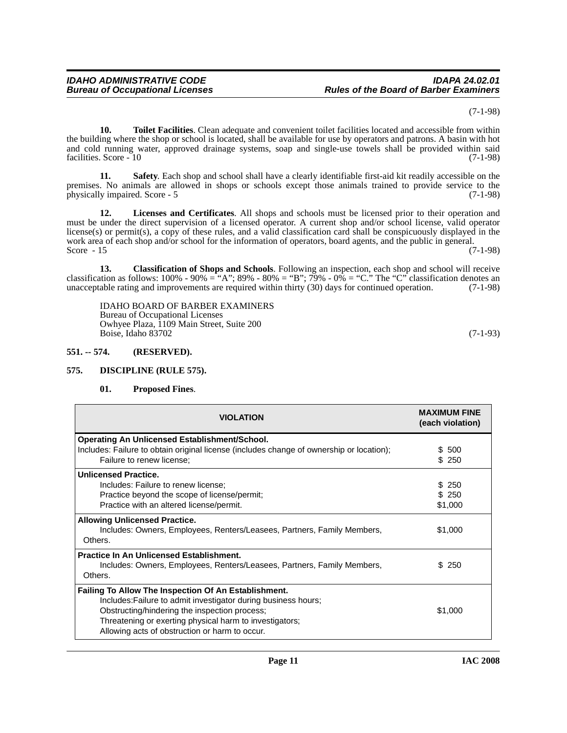(7-1-98)

**10. Toilet Facilities**. Clean adequate and convenient toilet facilities located and accessible from within the building where the shop or school is located, shall be available for use by operators and patrons. A basin with hot and cold running water, approved drainage systems, soap and single-use towels shall be provided within said facilities. Score - 10 (7-1-98)

**11. Safety**. Each shop and school shall have a clearly identifiable first-aid kit readily accessible on the premises. No animals are allowed in shops or schools except those animals trained to provide service to the physically impaired. Score - 5 (7-1-98)

**12. Licenses and Certificates**. All shops and schools must be licensed prior to their operation and must be under the direct supervision of a licensed operator. A current shop and/or school license, valid operator license(s) or permit(s), a copy of these rules, and a valid classification card shall be conspicuously displayed in the work area of each shop and/or school for the information of operators, board agents, and the public in general.<br>Score - 15 (7-1-98) Score  $-15$  (7-1-98)

**13. Classification of Shops and Schools**. Following an inspection, each shop and school will receive classification as follows:  $100\%$  -  $90\%$  = "A";  $89\%$  -  $80\%$  = "B";  $79\%$  -  $0\%$  = "C." The "C" classification denotes an unacceptable rating and improvements are required within thirty (30) days for continued operation. (7-1-98)

IDAHO BOARD OF BARBER EXAMINERS Bureau of Occupational Licenses Owhyee Plaza, 1109 Main Street, Suite 200 Boise, Idaho 83702 (7-1-93)

#### <span id="page-10-0"></span>**551. -- 574. (RESERVED).**

#### <span id="page-10-1"></span>**575. DISCIPLINE (RULE 575).**

#### <span id="page-10-3"></span><span id="page-10-2"></span>**01. Proposed Fines**.

| <b>VIOLATION</b>                                                                                                                                                                                                                                                                     | <b>MAXIMUM FINE</b><br>(each violation) |
|--------------------------------------------------------------------------------------------------------------------------------------------------------------------------------------------------------------------------------------------------------------------------------------|-----------------------------------------|
| <b>Operating An Unlicensed Establishment/School.</b><br>Includes: Failure to obtain original license (includes change of ownership or location);                                                                                                                                     | \$ 500                                  |
| Failure to renew license;                                                                                                                                                                                                                                                            | \$ 250                                  |
| <b>Unlicensed Practice.</b><br>Includes: Failure to renew license;<br>Practice beyond the scope of license/permit;                                                                                                                                                                   | \$ 250<br>\$250                         |
| Practice with an altered license/permit.<br><b>Allowing Unlicensed Practice.</b>                                                                                                                                                                                                     | \$1,000                                 |
| Includes: Owners, Employees, Renters/Leasees, Partners, Family Members,<br>Others.                                                                                                                                                                                                   | \$1,000                                 |
| <b>Practice In An Unlicensed Establishment.</b><br>Includes: Owners, Employees, Renters/Leasees, Partners, Family Members,<br>Others.                                                                                                                                                | S.<br>-250                              |
| Failing To Allow The Inspection Of An Establishment.<br>Includes: Failure to admit investigator during business hours;<br>Obstructing/hindering the inspection process;<br>Threatening or exerting physical harm to investigators;<br>Allowing acts of obstruction or harm to occur. | \$1,000                                 |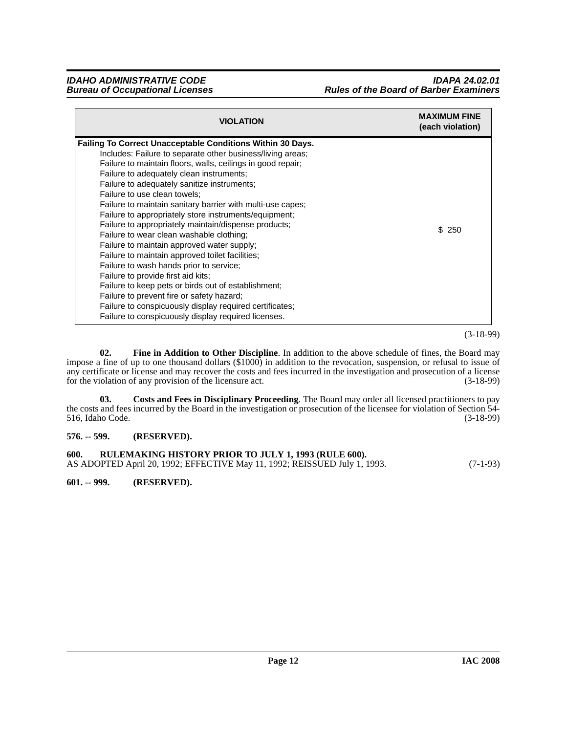| <b>VIOLATION</b>                                                                                                                                                                                                                                                                                                                                                                                                                                                                                                                                                                                                                                                                                                                                                                                                                                                                                                                                             | <b>MAXIMUM FINE</b><br>(each violation) |
|--------------------------------------------------------------------------------------------------------------------------------------------------------------------------------------------------------------------------------------------------------------------------------------------------------------------------------------------------------------------------------------------------------------------------------------------------------------------------------------------------------------------------------------------------------------------------------------------------------------------------------------------------------------------------------------------------------------------------------------------------------------------------------------------------------------------------------------------------------------------------------------------------------------------------------------------------------------|-----------------------------------------|
| <b>Failing To Correct Unacceptable Conditions Within 30 Days.</b><br>Includes: Failure to separate other business/living areas:<br>Failure to maintain floors, walls, ceilings in good repair;<br>Failure to adequately clean instruments;<br>Failure to adequately sanitize instruments;<br>Failure to use clean towels:<br>Failure to maintain sanitary barrier with multi-use capes;<br>Failure to appropriately store instruments/equipment;<br>Failure to appropriately maintain/dispense products;<br>Failure to wear clean washable clothing;<br>Failure to maintain approved water supply;<br>Failure to maintain approved toilet facilities;<br>Failure to wash hands prior to service;<br>Failure to provide first aid kits:<br>Failure to keep pets or birds out of establishment;<br>Failure to prevent fire or safety hazard;<br>Failure to conspicuously display required certificates;<br>Failure to conspicuously display required licenses. | \$250                                   |

(3-18-99)

<span id="page-11-4"></span>**02. Fine in Addition to Other Discipline**. In addition to the above schedule of fines, the Board may impose a fine of up to one thousand dollars (\$1000) in addition to the revocation, suspension, or refusal to issue of any certificate or license and may recover the costs and fees incurred in the investigation and prosecution of a license<br>for the violation of any provision of the licensure act. (3-18-99) for the violation of any provision of the licensure act.

<span id="page-11-3"></span>**03. Costs and Fees in Disciplinary Proceeding**. The Board may order all licensed practitioners to pay the costs and fees incurred by the Board in the investigation or prosecution of the licensee for violation of Section 54-<br>516, Idaho Code. (3-18-99) 516, Idaho Code.

#### <span id="page-11-0"></span>**576. -- 599. (RESERVED).**

<span id="page-11-1"></span>

| 600. | RULEMAKING HISTORY PRIOR TO JULY 1, 1993 (RULE 600).                      |            |
|------|---------------------------------------------------------------------------|------------|
|      | AS ADOPTED April 20, 1992; EFFECTIVE May 11, 1992; REISSUED July 1, 1993. | $(7-1-93)$ |

<span id="page-11-2"></span>**601. -- 999. (RESERVED).**